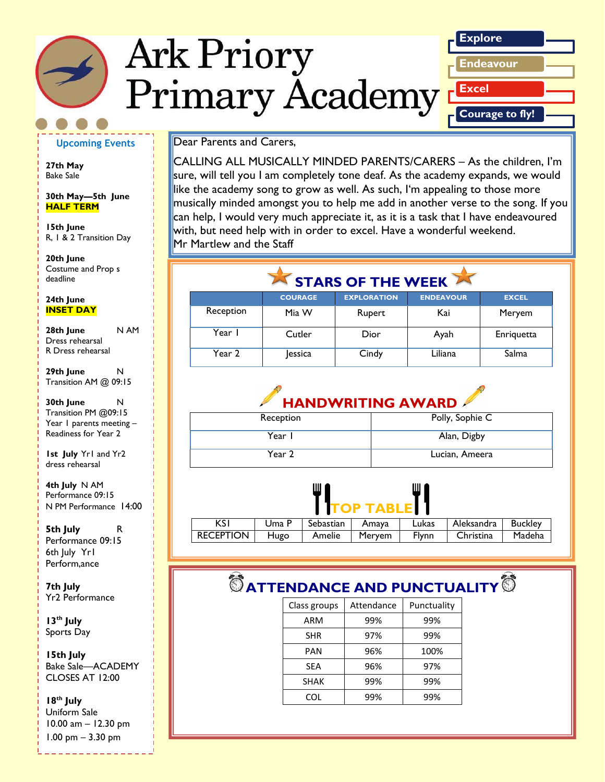# **Ark Priory Primary Academy**



#### **Upcoming Events**

**27th May**  Bake Sale

**30th May—5th June HALF TERM**

**15th June** R, 1 & 2 Transition Day

*Caption describing*  deadline **20th June**  Costume and Prop s

*picture or graphic.* **24th June INSET DAY**

**28th June** N AM Dress rehearsal R Dress rehearsal

**29th June** N Transition AM @ 09:15

**30th June** N Transition PM @09:15 Year 1 parents meeting -Readiness for Year 2

**1st July** Yr1 and Yr2 dress rehearsal

**4th July** N AM Performance 09:15 N PM Performance 14:00

**5th July** R Performance 09:15 6th July Yr1 Perform,ance

**7th July** Yr2 Performance

**13th July** Sports Day

**15th July** Bake Sale—ACADEMY CLOSES AT 12:00

**18th July**  Uniform Sale 10.00 am – 12.30 pm 1.00 pm – 3.30 pm

Dear Parents and Carers,

CALLING ALL MUSICALLY MINDED PARENTS/CARERS – As the children, I'm sure, will tell you I am completely tone deaf. As the academy expands, we would like the academy song to grow as well. As such, I'm appealing to those more musically minded amongst you to help me add in another verse to the song. If you can help, I would very much appreciate it, as it is a task that I have endeavoured with, but need help with in order to excel. Have a wonderful weekend. Mr Martlew and the Staff

### STARS OF THE WEEK

|           | <b>COURAGE</b> | <b>EXPLORATION</b> | <b>ENDEAVOUR</b> | <b>EXCEL</b> |
|-----------|----------------|--------------------|------------------|--------------|
| Reception | Mia W          | Rupert             | Kai              | Meryem       |
| Year I    | Cutler         | Dior               | Ayah             | Enriquetta   |
| Year 2    | lessica        | Cindy              | Liliana          | Salma        |

# **HANDWRITING AWARD**

| Reception | Polly, Sophie C |
|-----------|-----------------|
| Year I    | Alan, Digby     |
| Year 2    | Lucian, Ameera  |



| .           |       |                   |        |              |            |         |
|-------------|-------|-------------------|--------|--------------|------------|---------|
| κs          | Uma P | Sebastian   Amaya |        | Lukas        | Aleksandra | Buckley |
| RECEPTION I | Hugo  | Amelie            | Meryem | <b>Flynn</b> | Christina  | Madeha  |
|             |       |                   |        |              |            |         |

# **ATTENDANCE AND PUNCTUALITY**  $**③**$

| Class groups | Attendance | Punctuality |
|--------------|------------|-------------|
| ARM          | 99%        | 99%         |
| <b>SHR</b>   | 97%        | 99%         |
| PAN          | 96%        | 100%        |
| SEA          | 96%        | 97%         |
| <b>SHAK</b>  | 99%        | 99%         |
| COL          | 99%        | 99%         |